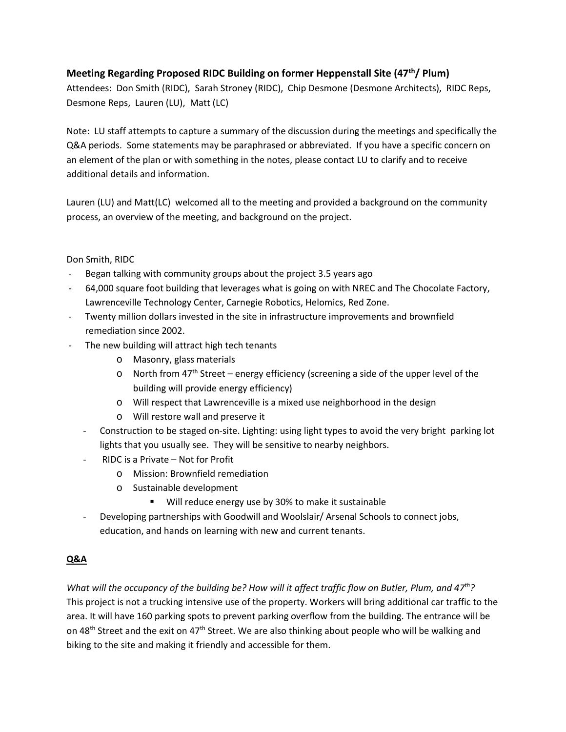## **Meeting Regarding Proposed RIDC Building on former Heppenstall Site (47th/ Plum)**

Attendees: Don Smith (RIDC), Sarah Stroney (RIDC), Chip Desmone (Desmone Architects), RIDC Reps, Desmone Reps, Lauren (LU), Matt (LC)

Note: LU staff attempts to capture a summary of the discussion during the meetings and specifically the Q&A periods. Some statements may be paraphrased or abbreviated. If you have a specific concern on an element of the plan or with something in the notes, please contact LU to clarify and to receive additional details and information.

Lauren (LU) and Matt(LC) welcomed all to the meeting and provided a background on the community process, an overview of the meeting, and background on the project.

#### Don Smith, RIDC

- Began talking with community groups about the project 3.5 years ago
- 64,000 square foot building that leverages what is going on with NREC and The Chocolate Factory, Lawrenceville Technology Center, Carnegie Robotics, Helomics, Red Zone.
- Twenty million dollars invested in the site in infrastructure improvements and brownfield remediation since 2002.
- The new building will attract high tech tenants
	- o Masonry, glass materials
	- o North from 47<sup>th</sup> Street energy efficiency (screening a side of the upper level of the building will provide energy efficiency)
	- o Will respect that Lawrenceville is a mixed use neighborhood in the design
	- o Will restore wall and preserve it
	- Construction to be staged on-site. Lighting: using light types to avoid the very bright parking lot lights that you usually see. They will be sensitive to nearby neighbors.
	- RIDC is a Private Not for Profit
		- o Mission: Brownfield remediation
		- o Sustainable development
			- **Will reduce energy use by 30% to make it sustainable**
	- Developing partnerships with Goodwill and Woolslair/ Arsenal Schools to connect jobs, education, and hands on learning with new and current tenants.

#### **Q&A**

*What will the occupancy of the building be? How will it affect traffic flow on Butler, Plum, and 47th?* This project is not a trucking intensive use of the property. Workers will bring additional car traffic to the area. It will have 160 parking spots to prevent parking overflow from the building. The entrance will be on 48<sup>th</sup> Street and the exit on 47<sup>th</sup> Street. We are also thinking about people who will be walking and biking to the site and making it friendly and accessible for them.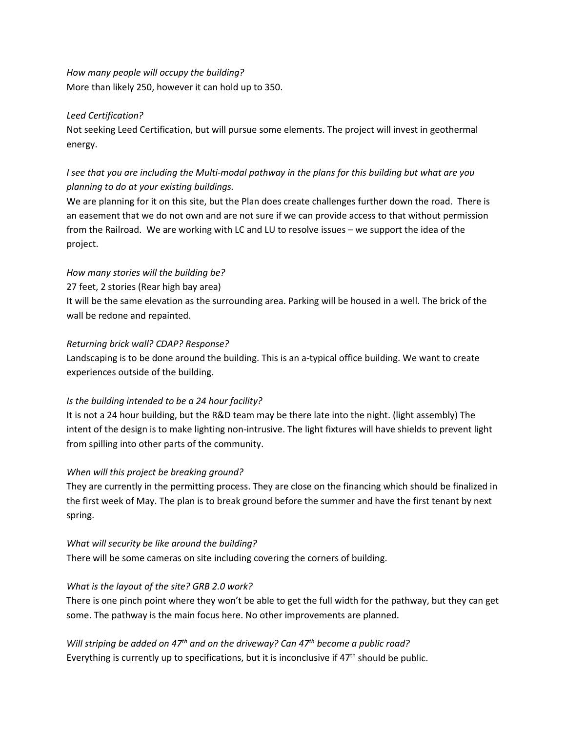*How many people will occupy the building?* More than likely 250, however it can hold up to 350.

#### *Leed Certification?*

Not seeking Leed Certification, but will pursue some elements. The project will invest in geothermal energy.

# *I see that you are including the Multi-modal pathway in the plans for this building but what are you planning to do at your existing buildings.*

We are planning for it on this site, but the Plan does create challenges further down the road. There is an easement that we do not own and are not sure if we can provide access to that without permission from the Railroad. We are working with LC and LU to resolve issues – we support the idea of the project.

## *How many stories will the building be?*

27 feet, 2 stories (Rear high bay area)

It will be the same elevation as the surrounding area. Parking will be housed in a well. The brick of the wall be redone and repainted.

#### *Returning brick wall? CDAP? Response?*

Landscaping is to be done around the building. This is an a-typical office building. We want to create experiences outside of the building.

## *Is the building intended to be a 24 hour facility?*

It is not a 24 hour building, but the R&D team may be there late into the night. (light assembly) The intent of the design is to make lighting non-intrusive. The light fixtures will have shields to prevent light from spilling into other parts of the community.

## *When will this project be breaking ground?*

They are currently in the permitting process. They are close on the financing which should be finalized in the first week of May. The plan is to break ground before the summer and have the first tenant by next spring.

## *What will security be like around the building?*

There will be some cameras on site including covering the corners of building.

## *What is the layout of the site? GRB 2.0 work?*

There is one pinch point where they won't be able to get the full width for the pathway, but they can get some. The pathway is the main focus here. No other improvements are planned.

*Will striping be added on 47th and on the driveway? Can 47th become a public road?* Everything is currently up to specifications, but it is inconclusive if  $47<sup>th</sup>$  should be public.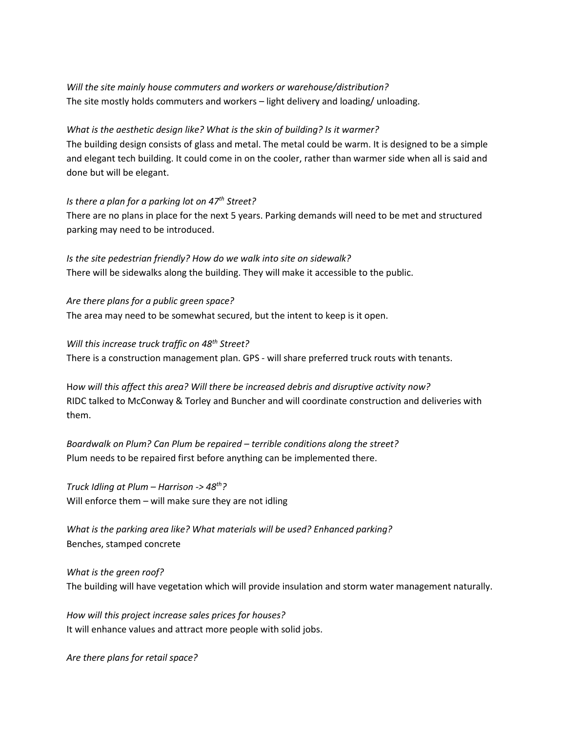*Will the site mainly house commuters and workers or warehouse/distribution?* The site mostly holds commuters and workers – light delivery and loading/ unloading.

#### *What is the aesthetic design like? What is the skin of building? Is it warmer?*

The building design consists of glass and metal. The metal could be warm. It is designed to be a simple and elegant tech building. It could come in on the cooler, rather than warmer side when all is said and done but will be elegant.

#### *Is there a plan for a parking lot on 47th Street?*

There are no plans in place for the next 5 years. Parking demands will need to be met and structured parking may need to be introduced.

*Is the site pedestrian friendly? How do we walk into site on sidewalk?* There will be sidewalks along the building. They will make it accessible to the public.

*Are there plans for a public green space?* The area may need to be somewhat secured, but the intent to keep is it open.

*Will this increase truck traffic on 48th Street?* There is a construction management plan. GPS - will share preferred truck routs with tenants.

H*ow will this affect this area? Will there be increased debris and disruptive activity now?* RIDC talked to McConway & Torley and Buncher and will coordinate construction and deliveries with them.

*Boardwalk on Plum? Can Plum be repaired – terrible conditions along the street?* Plum needs to be repaired first before anything can be implemented there.

*Truck Idling at Plum – Harrison -> 48th?* Will enforce them – will make sure they are not idling

*What is the parking area like? What materials will be used? Enhanced parking?* Benches, stamped concrete

*What is the green roof?* The building will have vegetation which will provide insulation and storm water management naturally.

*How will this project increase sales prices for houses?* It will enhance values and attract more people with solid jobs.

*Are there plans for retail space?*